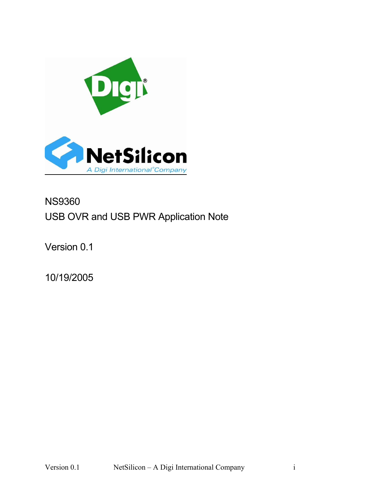

# NS9360 USB OVR and USB PWR Application Note

Version 0.1

10/19/2005